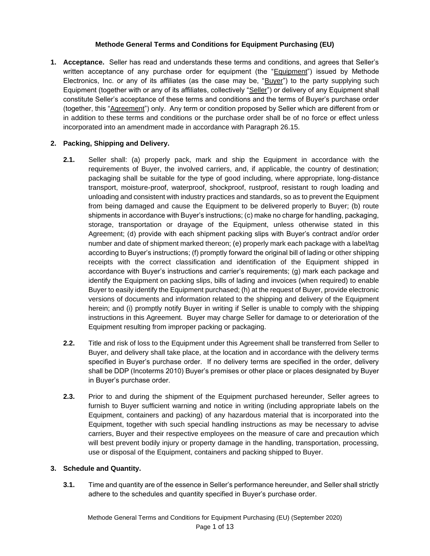## **Methode General Terms and Conditions for Equipment Purchasing (EU)**

**1. Acceptance.** Seller has read and understands these terms and conditions, and agrees that Seller's written acceptance of any purchase order for equipment (the "Equipment") issued by Methode Electronics, Inc. or any of its affiliates (as the case may be, "Buyer") to the party supplying such Equipment (together with or any of its affiliates, collectively "Seller") or delivery of any Equipment shall constitute Seller's acceptance of these terms and conditions and the terms of Buyer's purchase order (together, this "Agreement") only. Any term or condition proposed by Seller which are different from or in addition to these terms and conditions or the purchase order shall be of no force or effect unless incorporated into an amendment made in accordance with Paragraph 26.15.

# **2. Packing, Shipping and Delivery.**

- **2.1.** Seller shall: (a) properly pack, mark and ship the Equipment in accordance with the requirements of Buyer, the involved carriers, and, if applicable, the country of destination; packaging shall be suitable for the type of good including, where appropriate, long-distance transport, moisture-proof, waterproof, shockproof, rustproof, resistant to rough loading and unloading and consistent with industry practices and standards, so as to prevent the Equipment from being damaged and cause the Equipment to be delivered properly to Buyer; (b) route shipments in accordance with Buyer's instructions; (c) make no charge for handling, packaging, storage, transportation or drayage of the Equipment, unless otherwise stated in this Agreement; (d) provide with each shipment packing slips with Buyer's contract and/or order number and date of shipment marked thereon; (e) properly mark each package with a label/tag according to Buyer's instructions; (f) promptly forward the original bill of lading or other shipping receipts with the correct classification and identification of the Equipment shipped in accordance with Buyer's instructions and carrier's requirements; (g) mark each package and identify the Equipment on packing slips, bills of lading and invoices (when required) to enable Buyer to easily identify the Equipment purchased; (h) at the request of Buyer, provide electronic versions of documents and information related to the shipping and delivery of the Equipment herein; and (i) promptly notify Buyer in writing if Seller is unable to comply with the shipping instructions in this Agreement. Buyer may charge Seller for damage to or deterioration of the Equipment resulting from improper packing or packaging.
- **2.2.** Title and risk of loss to the Equipment under this Agreement shall be transferred from Seller to Buyer, and delivery shall take place, at the location and in accordance with the delivery terms specified in Buyer's purchase order. If no delivery terms are specified in the order, delivery shall be DDP (Incoterms 2010) Buyer's premises or other place or places designated by Buyer in Buyer's purchase order.
- **2.3.** Prior to and during the shipment of the Equipment purchased hereunder, Seller agrees to furnish to Buyer sufficient warning and notice in writing (including appropriate labels on the Equipment, containers and packing) of any hazardous material that is incorporated into the Equipment, together with such special handling instructions as may be necessary to advise carriers, Buyer and their respective employees on the measure of care and precaution which will best prevent bodily injury or property damage in the handling, transportation, processing, use or disposal of the Equipment, containers and packing shipped to Buyer.

#### **3. Schedule and Quantity.**

**3.1.** Time and quantity are of the essence in Seller's performance hereunder, and Seller shall strictly adhere to the schedules and quantity specified in Buyer's purchase order.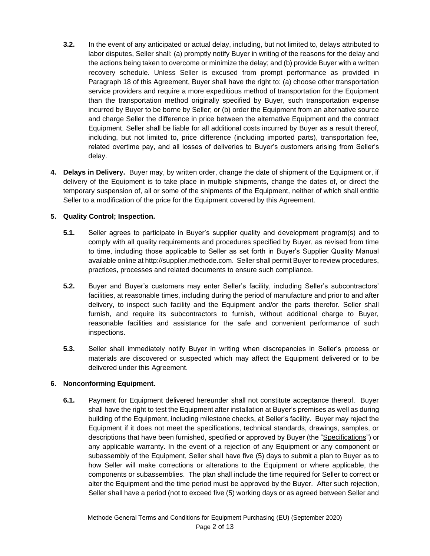- **3.2.** In the event of any anticipated or actual delay, including, but not limited to, delays attributed to labor disputes, Seller shall: (a) promptly notify Buyer in writing of the reasons for the delay and the actions being taken to overcome or minimize the delay; and (b) provide Buyer with a written recovery schedule. Unless Seller is excused from prompt performance as provided in Paragraph 18 of this Agreement, Buyer shall have the right to: (a) choose other transportation service providers and require a more expeditious method of transportation for the Equipment than the transportation method originally specified by Buyer, such transportation expense incurred by Buyer to be borne by Seller; or (b) order the Equipment from an alternative source and charge Seller the difference in price between the alternative Equipment and the contract Equipment. Seller shall be liable for all additional costs incurred by Buyer as a result thereof, including, but not limited to, price difference (including imported parts), transportation fee, related overtime pay, and all losses of deliveries to Buyer's customers arising from Seller's delay.
- **4. Delays in Delivery.** Buyer may, by written order, change the date of shipment of the Equipment or, if delivery of the Equipment is to take place in multiple shipments, change the dates of, or direct the temporary suspension of, all or some of the shipments of the Equipment, neither of which shall entitle Seller to a modification of the price for the Equipment covered by this Agreement.

# **5. Quality Control; Inspection.**

- **5.1.** Seller agrees to participate in Buyer's supplier quality and development program(s) and to comply with all quality requirements and procedures specified by Buyer, as revised from time to time, including those applicable to Seller as set forth in Buyer's Supplier Quality Manual available online at http://supplier.methode.com. Seller shall permit Buyer to review procedures, practices, processes and related documents to ensure such compliance.
- **5.2.** Buyer and Buyer's customers may enter Seller's facility, including Seller's subcontractors' facilities, at reasonable times, including during the period of manufacture and prior to and after delivery, to inspect such facility and the Equipment and/or the parts therefor. Seller shall furnish, and require its subcontractors to furnish, without additional charge to Buyer, reasonable facilities and assistance for the safe and convenient performance of such inspections.
- **5.3.** Seller shall immediately notify Buyer in writing when discrepancies in Seller's process or materials are discovered or suspected which may affect the Equipment delivered or to be delivered under this Agreement.

#### **6. Nonconforming Equipment.**

**6.1.** Payment for Equipment delivered hereunder shall not constitute acceptance thereof. Buyer shall have the right to test the Equipment after installation at Buyer's premises as well as during building of the Equipment, including milestone checks, at Seller's facility. Buyer may reject the Equipment if it does not meet the specifications, technical standards, drawings, samples, or descriptions that have been furnished, specified or approved by Buyer (the "Specifications") or any applicable warranty. In the event of a rejection of any Equipment or any component or subassembly of the Equipment, Seller shall have five (5) days to submit a plan to Buyer as to how Seller will make corrections or alterations to the Equipment or where applicable, the components or subassemblies. The plan shall include the time required for Seller to correct or alter the Equipment and the time period must be approved by the Buyer. After such rejection, Seller shall have a period (not to exceed five (5) working days or as agreed between Seller and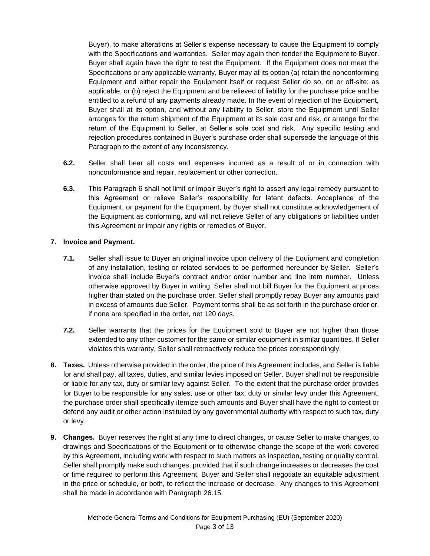Buyer), to make alterations at Seller's expense necessary to cause the Equipment to comply with the Specifications and warranties. Seller may again then tender the Equipment to Buyer. Buyer shall again have the right to test the Equipment. If the Equipment does not meet the Specifications or any applicable warranty, Buyer may at its option (a) retain the nonconforming Equipment and either repair the Equipment itself or request Seller do so, on or off-site; as applicable, or (b) reject the Equipment and be relieved of liability for the purchase price and be entitled to a refund of any payments already made. In the event of rejection of the Equipment, Buyer shall at its option, and without any liability to Seller, store the Equipment until Seller arranges for the return shipment of the Equipment at its sole cost and risk, or arrange for the return of the Equipment to Seller, at Seller's sole cost and risk. Any specific testing and rejection procedures contained in Buyer's purchase order shall supersede the language of this Paragraph to the extent of any inconsistency.

- **6.2.** Seller shall bear all costs and expenses incurred as a result of or in connection with nonconformance and repair, replacement or other correction.
- **6.3.** This Paragraph 6 shall not limit or impair Buyer's right to assert any legal remedy pursuant to this Agreement or relieve Seller's responsibility for latent defects. Acceptance of the Equipment, or payment for the Equipment, by Buyer shall not constitute acknowledgement of the Equipment as conforming, and will not relieve Seller of any obligations or liabilities under this Agreement or impair any rights or remedies of Buyer.

# **7. Invoice and Payment.**

- **7.1.** Seller shall issue to Buyer an original invoice upon delivery of the Equipment and completion of any installation, testing or related services to be performed hereunder by Seller. Seller's invoice shall include Buyer's contract and/or order number and line item number. Unless otherwise approved by Buyer in writing, Seller shall not bill Buyer for the Equipment at prices higher than stated on the purchase order. Seller shall promptly repay Buyer any amounts paid in excess of amounts due Seller. Payment terms shall be as set forth in the purchase order or, if none are specified in the order, net 120 days.
- **7.2.** Seller warrants that the prices for the Equipment sold to Buyer are not higher than those extended to any other customer for the same or similar equipment in similar quantities. If Seller violates this warranty, Seller shall retroactively reduce the prices correspondingly.
- **8. Taxes.** Unless otherwise provided in the order, the price of this Agreement includes, and Seller is liable for and shall pay, all taxes, duties, and similar levies imposed on Seller. Buyer shall not be responsible or liable for any tax, duty or similar levy against Seller. To the extent that the purchase order provides for Buyer to be responsible for any sales, use or other tax, duty or similar levy under this Agreement, the purchase order shall specifically itemize such amounts and Buyer shall have the right to contest or defend any audit or other action instituted by any governmental authority with respect to such tax, duty or levy.
- **9. Changes.** Buyer reserves the right at any time to direct changes, or cause Seller to make changes, to drawings and Specifications of the Equipment or to otherwise change the scope of the work covered by this Agreement, including work with respect to such matters as inspection, testing or quality control. Seller shall promptly make such changes, provided that if such change increases or decreases the cost or time required to perform this Agreement, Buyer and Seller shall negotiate an equitable adjustment in the price or schedule, or both, to reflect the increase or decrease. Any changes to this Agreement shall be made in accordance with Paragraph 26.15.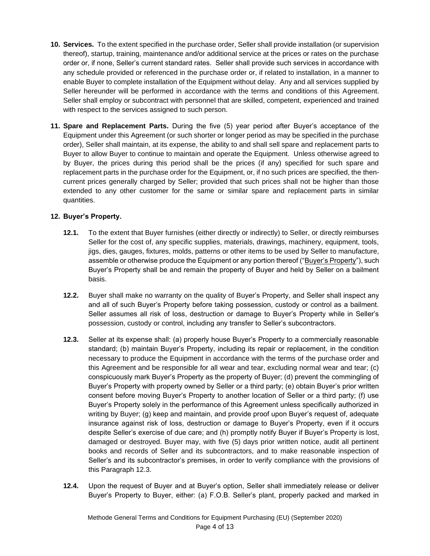- **10. Services.** To the extent specified in the purchase order, Seller shall provide installation (or supervision thereof), startup, training, maintenance and/or additional service at the prices or rates on the purchase order or, if none, Seller's current standard rates. Seller shall provide such services in accordance with any schedule provided or referenced in the purchase order or, if related to installation, in a manner to enable Buyer to complete installation of the Equipment without delay. Any and all services supplied by Seller hereunder will be performed in accordance with the terms and conditions of this Agreement. Seller shall employ or subcontract with personnel that are skilled, competent, experienced and trained with respect to the services assigned to such person.
- **11. Spare and Replacement Parts.** During the five (5) year period after Buyer's acceptance of the Equipment under this Agreement (or such shorter or longer period as may be specified in the purchase order), Seller shall maintain, at its expense, the ability to and shall sell spare and replacement parts to Buyer to allow Buyer to continue to maintain and operate the Equipment. Unless otherwise agreed to by Buyer, the prices during this period shall be the prices (if any) specified for such spare and replacement parts in the purchase order for the Equipment, or, if no such prices are specified, the thencurrent prices generally charged by Seller; provided that such prices shall not be higher than those extended to any other customer for the same or similar spare and replacement parts in similar quantities.

# **12. Buyer's Property.**

- **12.1.** To the extent that Buyer furnishes (either directly or indirectly) to Seller, or directly reimburses Seller for the cost of, any specific supplies, materials, drawings, machinery, equipment, tools, jigs, dies, gauges, fixtures, molds, patterns or other items to be used by Seller to manufacture, assemble or otherwise produce the Equipment or any portion thereof ("Buyer's Property"), such Buyer's Property shall be and remain the property of Buyer and held by Seller on a bailment basis.
- **12.2.** Buyer shall make no warranty on the quality of Buyer's Property, and Seller shall inspect any and all of such Buyer's Property before taking possession, custody or control as a bailment. Seller assumes all risk of loss, destruction or damage to Buyer's Property while in Seller's possession, custody or control, including any transfer to Seller's subcontractors.
- **12.3.** Seller at its expense shall: (a) properly house Buyer's Property to a commercially reasonable standard; (b) maintain Buyer's Property, including its repair or replacement, in the condition necessary to produce the Equipment in accordance with the terms of the purchase order and this Agreement and be responsible for all wear and tear, excluding normal wear and tear; (c) conspicuously mark Buyer's Property as the property of Buyer; (d) prevent the commingling of Buyer's Property with property owned by Seller or a third party; (e) obtain Buyer's prior written consent before moving Buyer's Property to another location of Seller or a third party; (f) use Buyer's Property solely in the performance of this Agreement unless specifically authorized in writing by Buyer; (g) keep and maintain, and provide proof upon Buyer's request of, adequate insurance against risk of loss, destruction or damage to Buyer's Property, even if it occurs despite Seller's exercise of due care; and (h) promptly notify Buyer if Buyer's Property is lost, damaged or destroyed. Buyer may, with five (5) days prior written notice, audit all pertinent books and records of Seller and its subcontractors, and to make reasonable inspection of Seller's and its subcontractor's premises, in order to verify compliance with the provisions of this Paragraph 12.3.
- **12.4.** Upon the request of Buyer and at Buyer's option, Seller shall immediately release or deliver Buyer's Property to Buyer, either: (a) F.O.B. Seller's plant, properly packed and marked in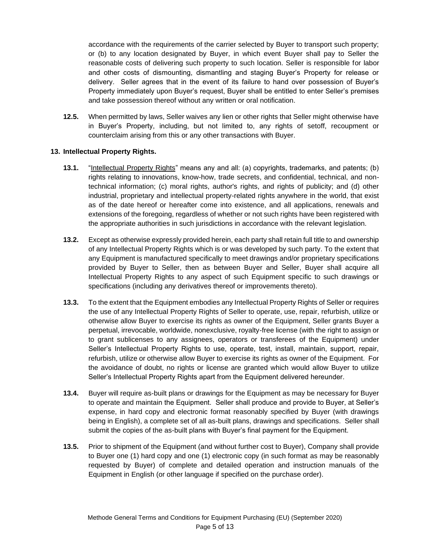accordance with the requirements of the carrier selected by Buyer to transport such property; or (b) to any location designated by Buyer, in which event Buyer shall pay to Seller the reasonable costs of delivering such property to such location. Seller is responsible for labor and other costs of dismounting, dismantling and staging Buyer's Property for release or delivery. Seller agrees that in the event of its failure to hand over possession of Buyer's Property immediately upon Buyer's request, Buyer shall be entitled to enter Seller's premises and take possession thereof without any written or oral notification.

**12.5.** When permitted by laws, Seller waives any lien or other rights that Seller might otherwise have in Buyer's Property, including, but not limited to, any rights of setoff, recoupment or counterclaim arising from this or any other transactions with Buyer.

#### **13. Intellectual Property Rights.**

- **13.1.** "Intellectual Property Rights" means any and all: (a) copyrights, trademarks, and patents; (b) rights relating to innovations, know-how, trade secrets, and confidential, technical, and nontechnical information; (c) moral rights, author's rights, and rights of publicity; and (d) other industrial, proprietary and intellectual property-related rights anywhere in the world, that exist as of the date hereof or hereafter come into existence, and all applications, renewals and extensions of the foregoing, regardless of whether or not such rights have been registered with the appropriate authorities in such jurisdictions in accordance with the relevant legislation.
- **13.2.** Except as otherwise expressly provided herein, each party shall retain full title to and ownership of any Intellectual Property Rights which is or was developed by such party. To the extent that any Equipment is manufactured specifically to meet drawings and/or proprietary specifications provided by Buyer to Seller, then as between Buyer and Seller, Buyer shall acquire all Intellectual Property Rights to any aspect of such Equipment specific to such drawings or specifications (including any derivatives thereof or improvements thereto).
- **13.3.** To the extent that the Equipment embodies any Intellectual Property Rights of Seller or requires the use of any Intellectual Property Rights of Seller to operate, use, repair, refurbish, utilize or otherwise allow Buyer to exercise its rights as owner of the Equipment, Seller grants Buyer a perpetual, irrevocable, worldwide, nonexclusive, royalty-free license (with the right to assign or to grant sublicenses to any assignees, operators or transferees of the Equipment) under Seller's Intellectual Property Rights to use, operate, test, install, maintain, support, repair, refurbish, utilize or otherwise allow Buyer to exercise its rights as owner of the Equipment. For the avoidance of doubt, no rights or license are granted which would allow Buyer to utilize Seller's Intellectual Property Rights apart from the Equipment delivered hereunder.
- **13.4.** Buyer will require as-built plans or drawings for the Equipment as may be necessary for Buyer to operate and maintain the Equipment. Seller shall produce and provide to Buyer, at Seller's expense, in hard copy and electronic format reasonably specified by Buyer (with drawings being in English), a complete set of all as-built plans, drawings and specifications. Seller shall submit the copies of the as-built plans with Buyer's final payment for the Equipment.
- **13.5.** Prior to shipment of the Equipment (and without further cost to Buyer), Company shall provide to Buyer one (1) hard copy and one (1) electronic copy (in such format as may be reasonably requested by Buyer) of complete and detailed operation and instruction manuals of the Equipment in English (or other language if specified on the purchase order).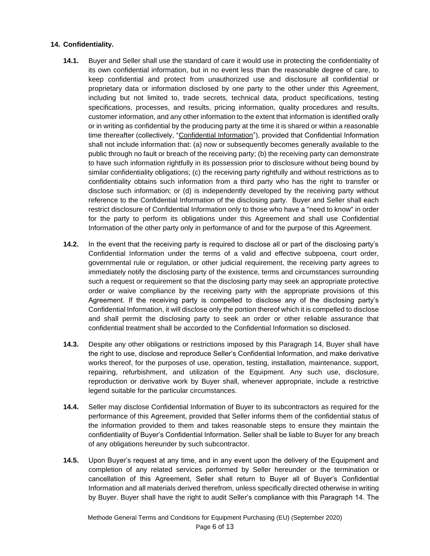#### **14. Confidentiality.**

- **14.1.** Buyer and Seller shall use the standard of care it would use in protecting the confidentiality of its own confidential information, but in no event less than the reasonable degree of care, to keep confidential and protect from unauthorized use and disclosure all confidential or proprietary data or information disclosed by one party to the other under this Agreement, including but not limited to, trade secrets, technical data, product specifications, testing specifications, processes, and results, pricing information, quality procedures and results, customer information, and any other information to the extent that information is identified orally or in writing as confidential by the producing party at the time it is shared or within a reasonable time thereafter (collectively, "Confidential Information"), provided that Confidential Information shall not include information that: (a) now or subsequently becomes generally available to the public through no fault or breach of the receiving party; (b) the receiving party can demonstrate to have such information rightfully in its possession prior to disclosure without being bound by similar confidentiality obligations; (c) the receiving party rightfully and without restrictions as to confidentiality obtains such information from a third party who has the right to transfer or disclose such information; or (d) is independently developed by the receiving party without reference to the Confidential Information of the disclosing party. Buyer and Seller shall each restrict disclosure of Confidential Information only to those who have a "need to know" in order for the party to perform its obligations under this Agreement and shall use Confidential Information of the other party only in performance of and for the purpose of this Agreement.
- **14.2.** In the event that the receiving party is required to disclose all or part of the disclosing party's Confidential Information under the terms of a valid and effective subpoena, court order, governmental rule or regulation, or other judicial requirement, the receiving party agrees to immediately notify the disclosing party of the existence, terms and circumstances surrounding such a request or requirement so that the disclosing party may seek an appropriate protective order or waive compliance by the receiving party with the appropriate provisions of this Agreement. If the receiving party is compelled to disclose any of the disclosing party's Confidential Information, it will disclose only the portion thereof which it is compelled to disclose and shall permit the disclosing party to seek an order or other reliable assurance that confidential treatment shall be accorded to the Confidential Information so disclosed.
- **14.3.** Despite any other obligations or restrictions imposed by this Paragraph 14, Buyer shall have the right to use, disclose and reproduce Seller's Confidential Information, and make derivative works thereof, for the purposes of use, operation, testing, installation, maintenance, support, repairing, refurbishment, and utilization of the Equipment. Any such use, disclosure, reproduction or derivative work by Buyer shall, whenever appropriate, include a restrictive legend suitable for the particular circumstances.
- **14.4.** Seller may disclose Confidential Information of Buyer to its subcontractors as required for the performance of this Agreement, provided that Seller informs them of the confidential status of the information provided to them and takes reasonable steps to ensure they maintain the confidentiality of Buyer's Confidential Information. Seller shall be liable to Buyer for any breach of any obligations hereunder by such subcontractor.
- **14.5.** Upon Buyer's request at any time, and in any event upon the delivery of the Equipment and completion of any related services performed by Seller hereunder or the termination or cancellation of this Agreement, Seller shall return to Buyer all of Buyer's Confidential Information and all materials derived therefrom, unless specifically directed otherwise in writing by Buyer. Buyer shall have the right to audit Seller's compliance with this Paragraph 14. The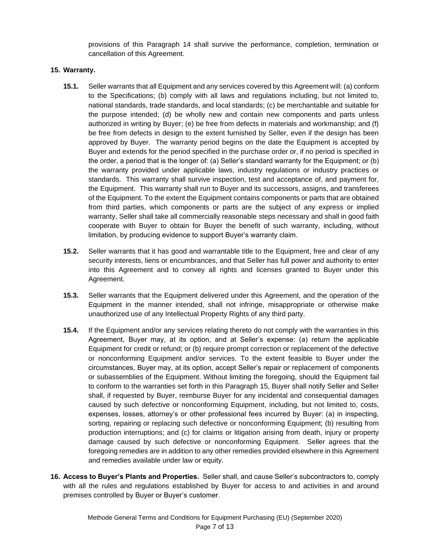provisions of this Paragraph 14 shall survive the performance, completion, termination or cancellation of this Agreement.

## **15. Warranty.**

- **15.1.** Seller warrants that all Equipment and any services covered by this Agreement will: (a) conform to the Specifications; (b) comply with all laws and regulations including, but not limited to, national standards, trade standards, and local standards; (c) be merchantable and suitable for the purpose intended; (d) be wholly new and contain new components and parts unless authorized in writing by Buyer; (e) be free from defects in materials and workmanship; and (f) be free from defects in design to the extent furnished by Seller, even if the design has been approved by Buyer. The warranty period begins on the date the Equipment is accepted by Buyer and extends for the period specified in the purchase order or, if no period is specified in the order, a period that is the longer of: (a) Seller's standard warranty for the Equipment; or (b) the warranty provided under applicable laws, industry regulations or industry practices or standards. This warranty shall survive inspection, test and acceptance of, and payment for, the Equipment. This warranty shall run to Buyer and its successors, assigns, and transferees of the Equipment. To the extent the Equipment contains components or parts that are obtained from third parties, which components or parts are the subject of any express or implied warranty, Seller shall take all commercially reasonable steps necessary and shall in good faith cooperate with Buyer to obtain for Buyer the benefit of such warranty, including, without limitation, by producing evidence to support Buyer's warranty claim.
- **15.2.** Seller warrants that it has good and warrantable title to the Equipment, free and clear of any security interests, liens or encumbrances, and that Seller has full power and authority to enter into this Agreement and to convey all rights and licenses granted to Buyer under this Agreement.
- **15.3.** Seller warrants that the Equipment delivered under this Agreement, and the operation of the Equipment in the manner intended, shall not infringe, misappropriate or otherwise make unauthorized use of any Intellectual Property Rights of any third party.
- **15.4.** If the Equipment and/or any services relating thereto do not comply with the warranties in this Agreement, Buyer may, at its option, and at Seller's expense: (a) return the applicable Equipment for credit or refund; or (b) require prompt correction or replacement of the defective or nonconforming Equipment and/or services. To the extent feasible to Buyer under the circumstances, Buyer may, at its option, accept Seller's repair or replacement of components or subassemblies of the Equipment. Without limiting the foregoing, should the Equipment fail to conform to the warranties set forth in this Paragraph 15, Buyer shall notify Seller and Seller shall, if requested by Buyer, reimburse Buyer for any incidental and consequential damages caused by such defective or nonconforming Equipment, including, but not limited to, costs, expenses, losses, attorney's or other professional fees incurred by Buyer: (a) in inspecting, sorting, repairing or replacing such defective or nonconforming Equipment; (b) resulting from production interruptions; and (c) for claims or litigation arising from death, injury or property damage caused by such defective or nonconforming Equipment. Seller agrees that the foregoing remedies are in addition to any other remedies provided elsewhere in this Agreement and remedies available under law or equity.
- **16. Access to Buyer's Plants and Properties.** Seller shall, and cause Seller's subcontractors to, comply with all the rules and regulations established by Buyer for access to and activities in and around premises controlled by Buyer or Buyer's customer.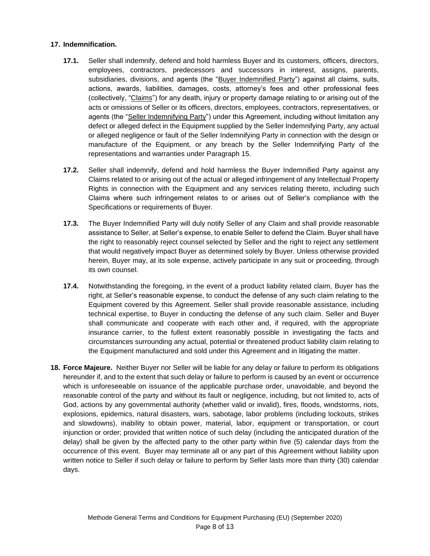## **17. Indemnification.**

- **17.1.** Seller shall indemnify, defend and hold harmless Buyer and its customers, officers, directors, employees, contractors, predecessors and successors in interest, assigns, parents, subsidiaries, divisions, and agents (the "Buyer Indemnified Party") against all claims, suits, actions, awards, liabilities, damages, costs, attorney's fees and other professional fees (collectively, "Claims") for any death, injury or property damage relating to or arising out of the acts or omissions of Seller or its officers, directors, employees, contractors, representatives, or agents (the "Seller Indemnifying Party") under this Agreement, including without limitation any defect or alleged defect in the Equipment supplied by the Seller Indemnifying Party, any actual or alleged negligence or fault of the Seller Indemnifying Party in connection with the design or manufacture of the Equipment, or any breach by the Seller Indemnifying Party of the representations and warranties under Paragraph 15.
- **17.2.** Seller shall indemnify, defend and hold harmless the Buyer Indemnified Party against any Claims related to or arising out of the actual or alleged infringement of any Intellectual Property Rights in connection with the Equipment and any services relating thereto, including such Claims where such infringement relates to or arises out of Seller's compliance with the Specifications or requirements of Buyer.
- **17.3.** The Buyer Indemnified Party will duly notify Seller of any Claim and shall provide reasonable assistance to Seller, at Seller's expense, to enable Seller to defend the Claim. Buyer shall have the right to reasonably reject counsel selected by Seller and the right to reject any settlement that would negatively impact Buyer as determined solely by Buyer. Unless otherwise provided herein, Buyer may, at its sole expense, actively participate in any suit or proceeding, through its own counsel.
- **17.4.** Notwithstanding the foregoing, in the event of a product liability related claim, Buyer has the right, at Seller's reasonable expense, to conduct the defense of any such claim relating to the Equipment covered by this Agreement. Seller shall provide reasonable assistance, including technical expertise, to Buyer in conducting the defense of any such claim. Seller and Buyer shall communicate and cooperate with each other and, if required, with the appropriate insurance carrier, to the fullest extent reasonably possible in investigating the facts and circumstances surrounding any actual, potential or threatened product liability claim relating to the Equipment manufactured and sold under this Agreement and in litigating the matter.
- **18. Force Majeure.** Neither Buyer nor Seller will be liable for any delay or failure to perform its obligations hereunder if, and to the extent that such delay or failure to perform is caused by an event or occurrence which is unforeseeable on issuance of the applicable purchase order, unavoidable, and beyond the reasonable control of the party and without its fault or negligence, including, but not limited to, acts of God, actions by any governmental authority (whether valid or invalid), fires, floods, windstorms, riots, explosions, epidemics, natural disasters, wars, sabotage, labor problems (including lockouts, strikes and slowdowns), inability to obtain power, material, labor, equipment or transportation, or court injunction or order; provided that written notice of such delay (including the anticipated duration of the delay) shall be given by the affected party to the other party within five (5) calendar days from the occurrence of this event. Buyer may terminate all or any part of this Agreement without liability upon written notice to Seller if such delay or failure to perform by Seller lasts more than thirty (30) calendar days.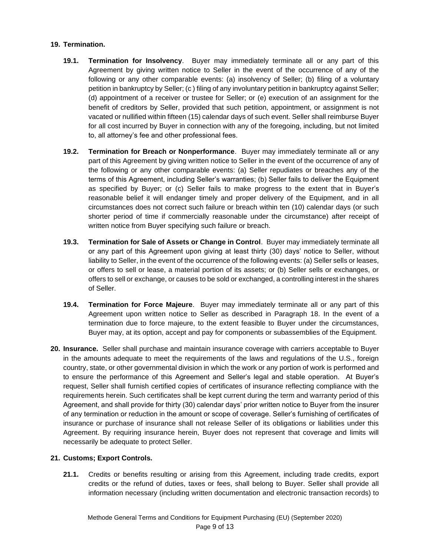#### **19. Termination.**

- **19.1. Termination for Insolvency**. Buyer may immediately terminate all or any part of this Agreement by giving written notice to Seller in the event of the occurrence of any of the following or any other comparable events: (a) insolvency of Seller; (b) filing of a voluntary petition in bankruptcy by Seller; (c ) filing of any involuntary petition in bankruptcy against Seller; (d) appointment of a receiver or trustee for Seller; or (e) execution of an assignment for the benefit of creditors by Seller, provided that such petition, appointment, or assignment is not vacated or nullified within fifteen (15) calendar days of such event. Seller shall reimburse Buyer for all cost incurred by Buyer in connection with any of the foregoing, including, but not limited to, all attorney's fee and other professional fees.
- **19.2. Termination for Breach or Nonperformance**. Buyer may immediately terminate all or any part of this Agreement by giving written notice to Seller in the event of the occurrence of any of the following or any other comparable events: (a) Seller repudiates or breaches any of the terms of this Agreement, including Seller's warranties; (b) Seller fails to deliver the Equipment as specified by Buyer; or (c) Seller fails to make progress to the extent that in Buyer's reasonable belief it will endanger timely and proper delivery of the Equipment, and in all circumstances does not correct such failure or breach within ten (10) calendar days (or such shorter period of time if commercially reasonable under the circumstance) after receipt of written notice from Buyer specifying such failure or breach.
- **19.3. Termination for Sale of Assets or Change in Control**. Buyer may immediately terminate all or any part of this Agreement upon giving at least thirty (30) days' notice to Seller, without liability to Seller, in the event of the occurrence of the following events: (a) Seller sells or leases, or offers to sell or lease, a material portion of its assets; or (b) Seller sells or exchanges, or offers to sell or exchange, or causes to be sold or exchanged, a controlling interest in the shares of Seller.
- **19.4. Termination for Force Majeure**. Buyer may immediately terminate all or any part of this Agreement upon written notice to Seller as described in Paragraph 18. In the event of a termination due to force majeure, to the extent feasible to Buyer under the circumstances, Buyer may, at its option, accept and pay for components or subassemblies of the Equipment.
- **20. Insurance.** Seller shall purchase and maintain insurance coverage with carriers acceptable to Buyer in the amounts adequate to meet the requirements of the laws and regulations of the U.S., foreign country, state, or other governmental division in which the work or any portion of work is performed and to ensure the performance of this Agreement and Seller's legal and stable operation. At Buyer's request, Seller shall furnish certified copies of certificates of insurance reflecting compliance with the requirements herein. Such certificates shall be kept current during the term and warranty period of this Agreement, and shall provide for thirty (30) calendar days' prior written notice to Buyer from the insurer of any termination or reduction in the amount or scope of coverage. Seller's furnishing of certificates of insurance or purchase of insurance shall not release Seller of its obligations or liabilities under this Agreement. By requiring insurance herein, Buyer does not represent that coverage and limits will necessarily be adequate to protect Seller.

#### **21. Customs; Export Controls.**

**21.1.** Credits or benefits resulting or arising from this Agreement, including trade credits, export credits or the refund of duties, taxes or fees, shall belong to Buyer. Seller shall provide all information necessary (including written documentation and electronic transaction records) to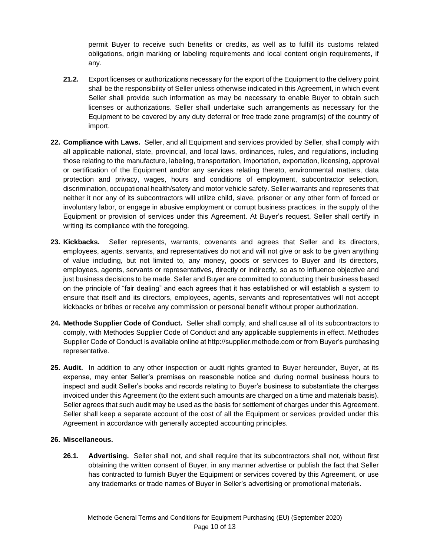permit Buyer to receive such benefits or credits, as well as to fulfill its customs related obligations, origin marking or labeling requirements and local content origin requirements, if any.

- **21.2.** Export licenses or authorizations necessary for the export of the Equipment to the delivery point shall be the responsibility of Seller unless otherwise indicated in this Agreement, in which event Seller shall provide such information as may be necessary to enable Buyer to obtain such licenses or authorizations. Seller shall undertake such arrangements as necessary for the Equipment to be covered by any duty deferral or free trade zone program(s) of the country of import.
- **22. Compliance with Laws.** Seller, and all Equipment and services provided by Seller, shall comply with all applicable national, state, provincial, and local laws, ordinances, rules, and regulations, including those relating to the manufacture, labeling, transportation, importation, exportation, licensing, approval or certification of the Equipment and/or any services relating thereto, environmental matters, data protection and privacy, wages, hours and conditions of employment, subcontractor selection, discrimination, occupational health/safety and motor vehicle safety. Seller warrants and represents that neither it nor any of its subcontractors will utilize child, slave, prisoner or any other form of forced or involuntary labor, or engage in abusive employment or corrupt business practices, in the supply of the Equipment or provision of services under this Agreement. At Buyer's request, Seller shall certify in writing its compliance with the foregoing.
- **23. Kickbacks.** Seller represents, warrants, covenants and agrees that Seller and its directors, employees, agents, servants, and representatives do not and will not give or ask to be given anything of value including, but not limited to, any money, goods or services to Buyer and its directors, employees, agents, servants or representatives, directly or indirectly, so as to influence objective and just business decisions to be made. Seller and Buyer are committed to conducting their business based on the principle of "fair dealing" and each agrees that it has established or will establish a system to ensure that itself and its directors, employees, agents, servants and representatives will not accept kickbacks or bribes or receive any commission or personal benefit without proper authorization.
- **24. Methode Supplier Code of Conduct.** Seller shall comply, and shall cause all of its subcontractors to comply, with Methodes Supplier Code of Conduct and any applicable supplements in effect. Methodes Supplier Code of Conduct is available online at http://supplier.methode.com or from Buyer's purchasing representative.
- **25. Audit.** In addition to any other inspection or audit rights granted to Buyer hereunder, Buyer, at its expense, may enter Seller's premises on reasonable notice and during normal business hours to inspect and audit Seller's books and records relating to Buyer's business to substantiate the charges invoiced under this Agreement (to the extent such amounts are charged on a time and materials basis). Seller agrees that such audit may be used as the basis for settlement of charges under this Agreement. Seller shall keep a separate account of the cost of all the Equipment or services provided under this Agreement in accordance with generally accepted accounting principles.

#### **26. Miscellaneous.**

**26.1. Advertising.** Seller shall not, and shall require that its subcontractors shall not, without first obtaining the written consent of Buyer, in any manner advertise or publish the fact that Seller has contracted to furnish Buyer the Equipment or services covered by this Agreement, or use any trademarks or trade names of Buyer in Seller's advertising or promotional materials.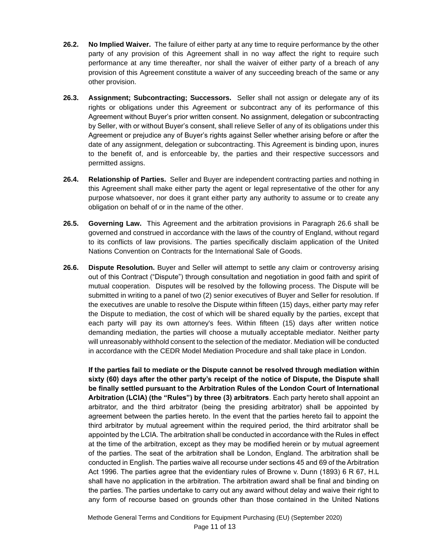- **26.2. No Implied Waiver.** The failure of either party at any time to require performance by the other party of any provision of this Agreement shall in no way affect the right to require such performance at any time thereafter, nor shall the waiver of either party of a breach of any provision of this Agreement constitute a waiver of any succeeding breach of the same or any other provision.
- **26.3. Assignment; Subcontracting; Successors.** Seller shall not assign or delegate any of its rights or obligations under this Agreement or subcontract any of its performance of this Agreement without Buyer's prior written consent. No assignment, delegation or subcontracting by Seller, with or without Buyer's consent, shall relieve Seller of any of its obligations under this Agreement or prejudice any of Buyer's rights against Seller whether arising before or after the date of any assignment, delegation or subcontracting. This Agreement is binding upon, inures to the benefit of, and is enforceable by, the parties and their respective successors and permitted assigns.
- **26.4. Relationship of Parties.** Seller and Buyer are independent contracting parties and nothing in this Agreement shall make either party the agent or legal representative of the other for any purpose whatsoever, nor does it grant either party any authority to assume or to create any obligation on behalf of or in the name of the other.
- **26.5. Governing Law.** This Agreement and the arbitration provisions in Paragraph 26.6 shall be governed and construed in accordance with the laws of the country of England, without regard to its conflicts of law provisions. The parties specifically disclaim application of the United Nations Convention on Contracts for the International Sale of Goods.
- **26.6. Dispute Resolution.** Buyer and Seller will attempt to settle any claim or controversy arising out of this Contract ("Dispute") through consultation and negotiation in good faith and spirit of mutual cooperation. Disputes will be resolved by the following process. The Dispute will be submitted in writing to a panel of two (2) senior executives of Buyer and Seller for resolution. If the executives are unable to resolve the Dispute within fifteen (15) days, either party may refer the Dispute to mediation, the cost of which will be shared equally by the parties, except that each party will pay its own attorney's fees. Within fifteen (15) days after written notice demanding mediation, the parties will choose a mutually acceptable mediator. Neither party will unreasonably withhold consent to the selection of the mediator. Mediation will be conducted in accordance with the CEDR Model Mediation Procedure and shall take place in London.

**If the parties fail to mediate or the Dispute cannot be resolved through mediation within sixty (60) days after the other party's receipt of the notice of Dispute, the Dispute shall be finally settled pursuant to the Arbitration Rules of the London Court of International Arbitration (LCIA) (the "Rules") by three (3) arbitrators**. Each party hereto shall appoint an arbitrator, and the third arbitrator (being the presiding arbitrator) shall be appointed by agreement between the parties hereto. In the event that the parties hereto fail to appoint the third arbitrator by mutual agreement within the required period, the third arbitrator shall be appointed by the LCIA. The arbitration shall be conducted in accordance with the Rules in effect at the time of the arbitration, except as they may be modified herein or by mutual agreement of the parties. The seat of the arbitration shall be London, England. The arbitration shall be conducted in English. The parties waive all recourse under sections 45 and 69 of the Arbitration Act 1996. The parties agree that the evidentiary rules of Browne v. Dunn (1893) 6 R 67, H.L shall have no application in the arbitration. The arbitration award shall be final and binding on the parties. The parties undertake to carry out any award without delay and waive their right to any form of recourse based on grounds other than those contained in the United Nations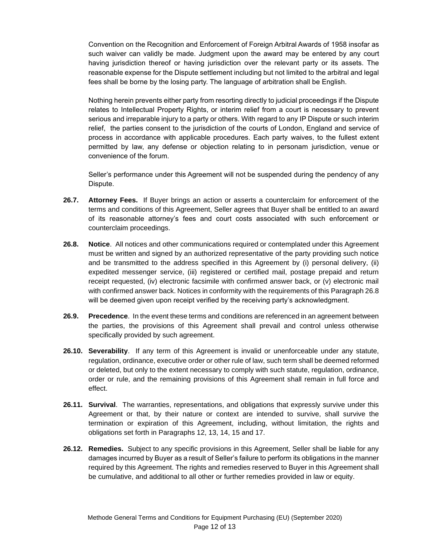Convention on the Recognition and Enforcement of Foreign Arbitral Awards of 1958 insofar as such waiver can validly be made. Judgment upon the award may be entered by any court having jurisdiction thereof or having jurisdiction over the relevant party or its assets. The reasonable expense for the Dispute settlement including but not limited to the arbitral and legal fees shall be borne by the losing party. The language of arbitration shall be English.

Nothing herein prevents either party from resorting directly to judicial proceedings if the Dispute relates to Intellectual Property Rights, or interim relief from a court is necessary to prevent serious and irreparable injury to a party or others. With regard to any IP Dispute or such interim relief, the parties consent to the jurisdiction of the courts of London, England and service of process in accordance with applicable procedures. Each party waives, to the fullest extent permitted by law, any defense or objection relating to in personam jurisdiction, venue or convenience of the forum.

Seller's performance under this Agreement will not be suspended during the pendency of any Dispute.

- **26.7. Attorney Fees.** If Buyer brings an action or asserts a counterclaim for enforcement of the terms and conditions of this Agreement, Seller agrees that Buyer shall be entitled to an award of its reasonable attorney's fees and court costs associated with such enforcement or counterclaim proceedings.
- **26.8. Notice**. All notices and other communications required or contemplated under this Agreement must be written and signed by an authorized representative of the party providing such notice and be transmitted to the address specified in this Agreement by (i) personal delivery, (ii) expedited messenger service, (iii) registered or certified mail, postage prepaid and return receipt requested, (iv) electronic facsimile with confirmed answer back, or (v) electronic mail with confirmed answer back. Notices in conformity with the requirements of this Paragraph 26.8 will be deemed given upon receipt verified by the receiving party's acknowledgment.
- **26.9. Precedence**. In the event these terms and conditions are referenced in an agreement between the parties, the provisions of this Agreement shall prevail and control unless otherwise specifically provided by such agreement.
- **26.10. Severability**. If any term of this Agreement is invalid or unenforceable under any statute, regulation, ordinance, executive order or other rule of law, such term shall be deemed reformed or deleted, but only to the extent necessary to comply with such statute, regulation, ordinance, order or rule, and the remaining provisions of this Agreement shall remain in full force and effect.
- **26.11. Survival**. The warranties, representations, and obligations that expressly survive under this Agreement or that, by their nature or context are intended to survive, shall survive the termination or expiration of this Agreement, including, without limitation, the rights and obligations set forth in Paragraphs 12, 13, 14, 15 and 17.
- **26.12. Remedies.** Subject to any specific provisions in this Agreement, Seller shall be liable for any damages incurred by Buyer as a result of Seller's failure to perform its obligations in the manner required by this Agreement. The rights and remedies reserved to Buyer in this Agreement shall be cumulative, and additional to all other or further remedies provided in law or equity.